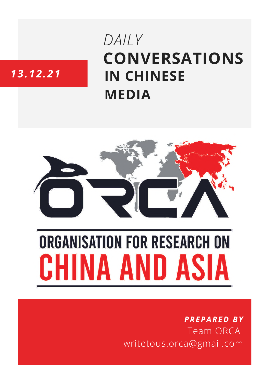# **CONVERSATIONS IN CHINESE MEDIA** *DAILY*

## *13.12.21*



# **ORGANISATION FOR RESEARCH ON** INA AND ASIA

### *PREPARED BY* Team ORCA writetous.orca@gmail.com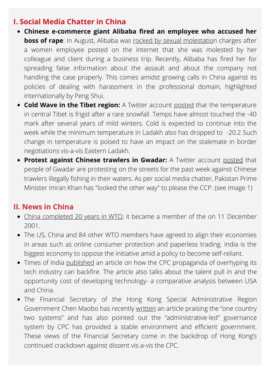#### **I. Social Media Chatter in China**

- **Chinese e-commerce giant Alibaba fired an employee who accused her boss of rape**: In August, Alibaba was rocked by sexual [molestation](https://timesofindia.indiatimes.com/world/china/alibaba-has-fired-employee-who-accused-former-co-worker-of-sexual-assault-report/articleshow/88247083.cms) charges after a women employee posted on the internet that she was molested by her colleague and client during a business trip. Recently, Alibaba has fired her for spreading false information about the assault and about the company not handling the case properly. This comes amidst growing calls in China against its policies of dealing with harassment in the professional domain, highlighted internationally by Peng Shui.
- **Cold Wave in the Tibet region:** A Twitter account [posted](https://twitter.com/Kyangs_Thang/status/1469917449105510401) that the temperature in central Tibet is frigid after a rare snowfall. Temps have almost touched the -40 mark after several years of mild winters. Cold is expected to continue into the week while the minimum temperature in Ladakh also has dropped to -20.2 Such change in temperature is poised to have an impact on the stalemate in border negotiations vis-a-vis Eastern Ladakh.
- **Protest against Chinese trawlers in Gwadar:** A Twitter account [posted](https://twitter.com/viper202020/status/1470274344190238720) that people of [Gwadar](https://twitter.com/hashtag/Gwadar?src=hashtag_click) are protesting on the streets for the past week against Chinese trawlers illegally fishing in their waters. As per social media chatter, Pakistan Prime Minister Imran Khan has "looked the other way" to please the [CCP](https://twitter.com/hashtag/CCP?src=hashtag_click). (see Image 1)

#### **II. News in China**

- China [completed](https://news.cgtn.com/news/2021-12-11/20-years-in-WTO-How-China-has-transformed-15U0Js4LxNm/index.html) 20 years in WTO; it became a member of the on 11 December 2001.
- The US, China and 84 other WTO members have agreed to align their economies in areas such as online consumer protection and paperless trading. India is the biggest economy to oppose the initiative amid a policy to become self-reliant.
- Times of India [published](https://timesofindia.indiatimes.com/blogs/voices/three-reasons-why-chinas-tech-prowess-is-overhyped/) an article on how the CPC propaganda of overhyping its tech industry can backfire. The article also talks about the talent pull in and the opportunity cost of developing technology- a comparative analysis between USA and China.
- The Financial Secretary of the Hong Kong Special Administrative Region Government Chen Maobo has recently [written](https://www.thepaper.cn/newsDetail_forward_15809749) an article praising the "one country two systems" and has also pointed out the "administrative-led" governance system by CPC has provided a stable environment and efficient government. These views of the Financial Secretary come in the backdrop of Hong Kong's continued crackdown against dissent vis-a-vis the CPC.